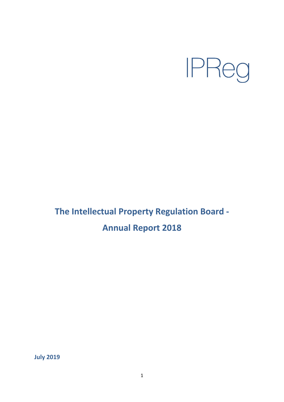

# **The Intellectual Property Regulation Board - Annual Report 2018**

**July 2019**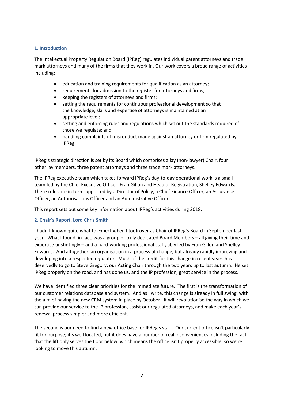# **1. Introduction**

The Intellectual Property Regulation Board (IPReg) regulates individual patent attorneys and trade mark attorneys and many of the firms that they work in. Our work covers a broad range of activities including:

- education and training requirements for qualification as an attorney;
- requirements for admission to the register for attorneys and firms;
- keeping the registers of attorneys and firms;
- setting the requirements for continuous professional development so that the knowledge, skills and expertise of attorneys is maintained at an appropriate level;
- setting and enforcing rules and regulations which set out the standards required of those we regulate; and
- handling complaints of misconduct made against an attorney or firm regulated by IPReg.

IPReg's strategic direction is set by its Board which comprises a lay (non-lawyer) Chair, four other lay members, three patent attorneys and three trade mark attorneys.

The IPReg executive team which takes forward IPReg's day-to-day operational work is a small team led by the Chief Executive Officer, Fran Gillon and Head of Registration, Shelley Edwards. These roles are in turn supported by a Director of Policy, a Chief Finance Officer, an Assurance Officer, an Authorisations Officer and an Administrative Officer.

This report sets out some key information about IPReg's activities during 2018.

# **2. Chair's Report, Lord Chris Smith**

I hadn't known quite what to expect when I took over as Chair of IPReg's Board in September last year. What I found, in fact, was a group of truly dedicated Board Members – all giving their time and expertise unstintingly – and a hard-working professional staff, ably led by Fran Gillon and Shelley Edwards. And altogether, an organisation in a process of change, but already rapidly improving and developing into a respected regulator. Much of the credit for this change in recent years has deservedly to go to Steve Gregory, our Acting Chair through the two years up to last autumn. He set IPReg properly on the road, and has done us, and the IP profession, great service in the process.

We have identified three clear priorities for the immediate future. The first is the transformation of our customer relations database and system. And as I write, this change is already in full swing, with the aim of having the new CRM system in place by October. It will revolutionise the way in which we can provide our service to the IP profession, assist our regulated attorneys, and make each year's renewal process simpler and more efficient.

The second is our need to find a new office base for IPReg's staff. Our current office isn't particularly fit for purpose; it's well located, but it does have a number of real inconveniences including the fact that the lift only serves the floor below, which means the office isn't properly accessible; so we're looking to move this autumn.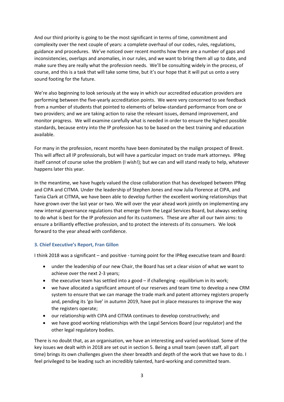And our third priority is going to be the most significant in terms of time, commitment and complexity over the next couple of years: a complete overhaul of our codes, rules, regulations, guidance and procedures. We've noticed over recent months how there are a number of gaps and inconsistencies, overlaps and anomalies, in our rules, and we want to bring them all up to date, and make sure they are really what the profession needs. We'll be consulting widely in the process, of course, and this is a task that will take some time, but it's our hope that it will put us onto a very sound footing for the future.

We're also beginning to look seriously at the way in which our accredited education providers are performing between the five-yearly accreditation points. We were very concerned to see feedback from a number of students that pointed to elements of below-standard performance from one or two providers; and we are taking action to raise the relevant issues, demand improvement, and monitor progress. We will examine carefully what is needed in order to ensure the highest possible standards, because entry into the IP profession has to be based on the best training and education available.

For many in the profession, recent months have been dominated by the malign prospect of Brexit. This will affect all IP professionals, but will have a particular impact on trade mark attorneys. IPReg itself cannot of course solve the problem (I wish!); but we can and will stand ready to help, whatever happens later this year.

In the meantime, we have hugely valued the close collaboration that has developed between IPReg and CIPA and CITMA. Under the leadership of Stephen Jones and now Julia Florence at CIPA, and Tania Clark at CITMA, we have been able to develop further the excellent working relationships that have grown over the last year or two. We will over the year ahead work jointly on implementing any new internal governance regulations that emerge from the Legal Services Board, but always seeking to do what is best for the IP profession and for its customers. These are after all our twin aims: to ensure a brilliantly effective profession, and to protect the interests of its consumers. We look forward to the year ahead with confidence.

# **3. Chief Executive's Report, Fran Gillon**

I think 2018 was a significant – and positive - turning point for the IPReg executive team and Board:

- under the leadership of our new Chair, the Board has set a clear vision of what we want to achieve over the next 2-3 years;
- the executive team has settled into a good if challenging equilibrium in its work;
- we have allocated a significant amount of our reserves and team time to develop a new CRM system to ensure that we can manage the trade mark and patent attorney registers properly and, pending its 'go live' in autumn 2019, have put in place measures to improve the way the registers operate;
- our relationship with CIPA and CITMA continues to develop constructively; and
- we have good working relationships with the Legal Services Board (our regulator) and the other legal regulatory bodies.

There is no doubt that, as an organisation, we have an interesting and varied workload. Some of the key issues we dealt with in 2018 are set out in section 5. Being a small team (seven staff, all part time) brings its own challenges given the sheer breadth and depth of the work that we have to do. I feel privileged to be leading such an incredibly talented, hard-working and committed team.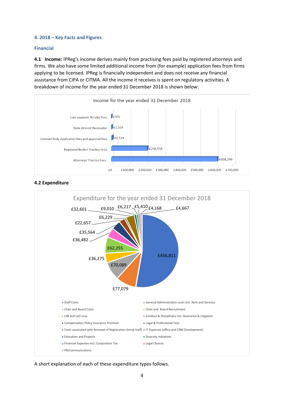## **4. 2018 – Key Facts and Figures**

## **Financial**

**4.1 Income:** IPReg's income derives mainly from practising fees paid by registered attorneys and firms. We also have some limited additional income from (for example) application fees from firms applying to be licensed. IPReg is financially independent and does not receive any financial assistance from CIPA or CITMA. All the income it receives is spent on regulatory activities. A breakdown of income for the year ended 31 December 2018 is shown below:



**4.2 Expenditure**



A short explanation of each of these expenditure types follows.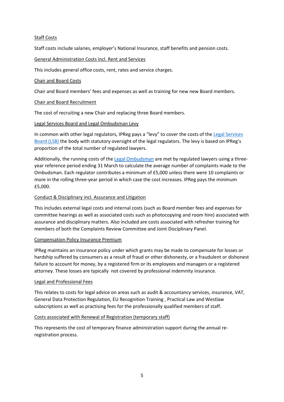# Staff Costs

Staff costs include salaries, employer's National Insurance, staff benefits and pension costs.

# General Administration Costs incl. Rent and Services

This includes general office costs, rent, rates and service charges.

# Chair and Board Costs

Chair and Board members' fees and expenses as well as training for new new Board members.

# Chair and Board Recruitment

The cost of recruiting a new Chair and replacing three Board members.

# Legal Services Board and Legal Ombudsman Levy

In common with other legal regulators, IPReg pays a "levy" to cover the costs of th[e Legal Services](https://www.legalservicesboard.org.uk/)  [Board \(LSB\)](https://www.legalservicesboard.org.uk/) the body with statutory oversight of the legal regulators. The levy is based on IPReg's proportion of the total number of regulated lawyers.

Additionally, the running costs of th[e Legal Ombudsman](https://www.legalombudsman.org.uk/) are met by regulated lawyers using a threeyear reference period ending 31 March to calculate the average number of complaints made to the Ombudsman. Each regulator contributes a minimum of £5,000 unless there were 10 complaints or more in the rolling three-year period in which case the cost increases. IPReg pays the minimum £5,000.

# Conduct & Disciplinary incl. Assurance and Litigation

This includes external legal costs and internal costs (such as Board member fees and expenses for committee hearings as well as associated costs such as photocopying and room hire) associated with assurance and disciplinary matters. Also included are costs associated with refresher training for members of both the Complaints Review Committee and Joint Disciplinary Panel.

## Compensation Policy Insurance Premium

IPReg maintains an insurance policy under which grants may be made to compensate for losses or hardship suffered by consumers as a result of fraud or other dishonesty, or a fraudulent or dishonest failure to account for money, by a registered firm or its employees and managers or a registered attorney. These losses are typically not covered by professional indemnity insurance.

## Legal and Professional Fees

This relates to costs for legal advice on areas such as audit & accountancy services, insurance, VAT, General Data Protection Regulation, EU Recognition Training , Practical Law and Westlaw subscriptions as well as practising fees for the professionally qualified members of staff.

## Costs associated with Renewal of Registration (temporary staff)

This represents the cost of temporary finance administration support during the annual reregistration process.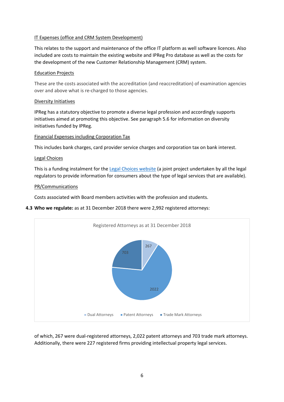# IT Expenses (office and CRM System Development)

This relates to the support and maintenance of the office IT platform as well software licences. Also included are costs to maintain the existing website and IPReg Pro database as well as the costs for the development of the new Customer Relationship Management (CRM) system.

## Education Projects

These are the costs associated with the accreditation (and reaccreditation) of examination agencies over and above what is re-charged to those agencies.

# Diversity Initiatives

IPReg has a statutory objective to promote a diverse legal profession and accordingly supports initiatives aimed at promoting this objective. See paragraph 5.6 for information on diversity initiatives funded by IPReg.

# Financial Expenses including Corporation Tax

This includes bank charges, card provider service charges and corporation tax on bank interest.

# Legal Choices

This is a funding instalment for the [Legal Choices website](https://www.legalchoices.org.uk/) (a joint project undertaken by all the legal regulators to provide information for consumers about the type of legal services that are available).

## PR/Communications

Costs associated with Board members activities with the profession and students.

# **4.3 Who we regulate:** as at 31 December 2018 there were 2,992 registered attorneys:



of which, 267 were dual-registered attorneys, 2,022 patent attorneys and 703 trade mark attorneys. Additionally, there were 227 registered firms providing intellectual property legal services.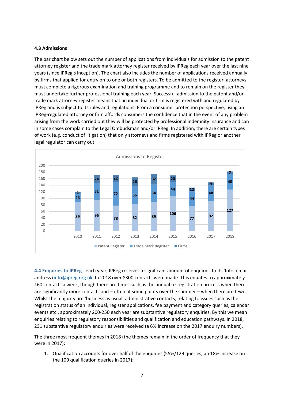## **4.3 Admissions**

The bar chart below sets out the number of applications from individuals for admission to the patent attorney register and the trade mark attorney register received by IPReg each year over the last nine years (since IPReg's inception). The chart also includes the number of applications received annually by firms that applied for entry on to one or both registers. To be admitted to the register, attorneys must complete a rigorous examination and training programme and to remain on the register they must undertake further professional training each year. Successful admission to the patent and/or trade mark attorney register means that an individual or firm is registered with and regulated by IPReg and is subject to its rules and regulations. From a consumer protection perspective, using an IPReg-regulated attorney or firm affords consumers the confidence that in the event of any problem arising from the work carried out they will be protected by professional indemnity insurance and can in some cases complain to the Legal Ombudsman and/or IPReg. In addition, there are certain types of work (e.g. conduct of litigation) that only attorneys and firms registered with IPReg or another legal regulator can carry out.



**4.4 Enquiries to IPReg -** each year, IPReg receives a significant amount of enquiries to its 'Info' email address [\(info@ipreg.org.uk.](mailto:info@ipreg.org.uk) In 2018 over 8300 contacts were made. This equates to approximately 160 contacts a week, though there are times such as the annual re-registration process when there are significantly more contacts and – often at some points over the summer – when there are fewer. Whilst the majority are 'business as usual' administrative contacts, relating to issues such as the registration status of an individual, register applications, fee payment and category queries, calendar events etc., approximately 200-250 each year are substantive regulatory enquiries. By this we mean enquiries relating to regulatory responsibilities and qualification and education pathways. In 2018, 231 substantive regulatory enquiries were received (a 6% increase on the 2017 enquiry numbers).

The three most frequent themes in 2018 (the themes remain in the order of frequency that they were in 2017):

1. Qualification accounts for over half of the enquiries (55%/129 queries, an 18% increase on the 109 qualification queries in 2017);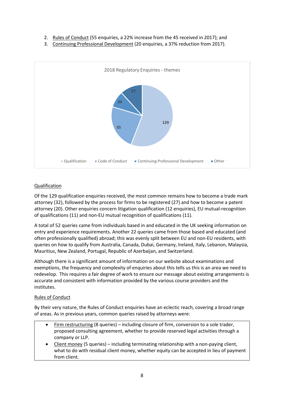- 2. Rules of Conduct (55 enquiries, a 22% increase from the 45 received in 2017); and
- 3. Continuing Professional Development (20 enquiries, a 37% reduction from 2017).



# Qualification

Of the 129 qualification enquiries received, the most common remains how to become a trade mark attorney (32), followed by the process for firms to be registered (27) and how to become a patent attorney (20). Other enquiries concern litigation qualification (12 enquiries), EU mutual-recognition of qualifications (11) and non-EU mutual recognition of qualifications (11).

A total of 52 queries came from individuals based in and educated in the UK seeking information on entry and experience requirements. Another 22 queries came from those based and educated (and often professionally qualified) abroad; this was evenly split between EU and non-EU residents, with queries on how to qualify from Australia, Canada, Dubai, Germany, Ireland, Italy, Lebanon, Malaysia, Mauritius, New Zealand, Portugal, Republic of Azerbaijan, and Switzerland.

Although there is a significant amount of information on our website about examinations and exemptions, the frequency and complexity of enquiries about this tells us this is an area we need to redevelop. This requires a fair degree of work to ensure our message about existing arrangements is accurate and consistent with information provided by the various course providers and the institutes.

## Rules of Conduct

By their very nature, the Rules of Conduct enquiries have an eclectic reach, covering a broad range of areas. As in previous years, common queries raised by attorneys were:

- Firm restructuring (8 queries) including closure of firm, conversion to a sole trader, proposed consulting agreement, whether to provide reserved legal activities through a company or LLP.
- Client money (5 queries) including terminating relationship with a non-paying client, what to do with residual client money, whether equity can be accepted in lieu of payment from client.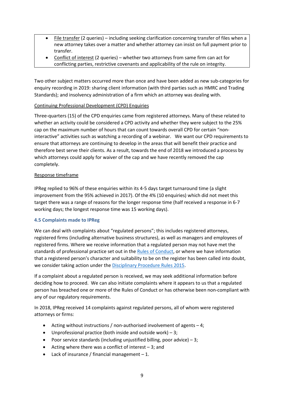- File transfer (2 queries) including seeking clarification concerning transfer of files when a new attorney takes over a matter and whether attorney can insist on full payment prior to transfer.
- Conflict of interest (2 queries) whether two attorneys from same firm can act for conflicting parties, restrictive covenants and applicability of the rule on integrity.

Two other subject matters occurred more than once and have been added as new sub-categories for enquiry recording in 2019: sharing client information (with third parties such as HMRC and Trading Standards); and insolvency administration of a firm which an attorney was dealing with.

# Continuing Professional Development (CPD) Enquiries

Three-quarters (15) of the CPD enquiries came from registered attorneys. Many of these related to whether an activity could be considered a CPD activity and whether they were subject to the 25% cap on the maximum number of hours that can count towards overall CPD for certain "noninteractive" activities such as watching a recording of a webinar. We want our CPD requirements to ensure that attorneys are continuing to develop in the areas that will benefit their practice and therefore best serve their clients. As a result, towards the end of 2018 we introduced a process by which attorneys could apply for waiver of the cap and we have recently removed the cap completely.

# Response timeframe

IPReg replied to 96% of these enquiries within its 4-5 days target turnaround time (a slight improvement from the 95% achieved in 2017). Of the 4% (10 enquiries) which did not meet this target there was a range of reasons for the longer response time (half received a response in 6-7 working days; the longest response time was 15 working days).

## **4.5 Complaints made to IPReg**

We can deal with complaints about "regulated persons"; this includes registered attorneys, registered firms (including alternative business structures), as well as managers and employees of registered firms. Where we receive information that a regulated person may not have met the standards of professional practice set out in th[e Rules of Conduct,](https://ipreg.org.uk/wp-content/files/2018/12/Rules-of-Conduct-December-2018.pdf) or where we have information that a registered person's character and suitability to be on the register has been called into doubt, we consider taking action under the [Disciplinary Procedure Rules 2015.](https://ipreg.org.uk/wp-content/files/2018/12/Disciplinary-Rules-2015-December-2018.pdf)

If a complaint about a regulated person is received, we may seek additional information before deciding how to proceed. We can also initiate complaints where it appears to us that a regulated person has breached one or more of the Rules of Conduct or has otherwise been non-compliant with any of our regulatory requirements.

In 2018, IPReg received 14 complaints against regulated persons, all of whom were registered attorneys or firms:

- Acting without instructions / non-authorised involvement of agents  $-4$ ;
- Unprofessional practice (both inside and outside work)  $-3$ ;
- Poor service standards (including unjustified billing, poor advice)  $-3$ ;
- Acting where there was a conflict of interest  $-3$ ; and
- Lack of insurance / financial management  $-1$ .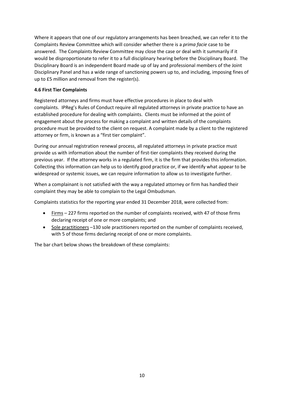Where it appears that one of our regulatory arrangements has been breached, we can refer it to the Complaints Review Committee which will consider whether there is a *prima facie* case to be answered. The Complaints Review Committee may close the case or deal with it summarily if it would be disproportionate to refer it to a full disciplinary hearing before the Disciplinary Board. The Disciplinary Board is an independent Board made up of lay and professional members of the Joint Disciplinary Panel and has a wide range of sanctioning powers up to, and including, imposing fines of up to £5 million and removal from the register(s).

# **4.6 First Tier Complaints**

Registered attorneys and firms must have effective procedures in place to deal with complaints. IPReg's Rules of Conduct require all regulated attorneys in private practice to have an established procedure for dealing with complaints. Clients must be informed at the point of engagement about the process for making a complaint and written details of the complaints procedure must be provided to the client on request. A complaint made by a client to the registered attorney or firm, is known as a "first tier complaint".

During our annual registration renewal process, all regulated attorneys in private practice must provide us with information about the number of first-tier complaints they received during the previous year. If the attorney works in a regulated firm, it is the firm that provides this information. Collecting this information can help us to identify good practice or, if we identify what appear to be widespread or systemic issues, we can require information to allow us to investigate further.

When a complainant is not satisfied with the way a regulated attorney or firm has handled their complaint they may be able to complain to the Legal Ombudsman.

Complaints statistics for the reporting year ended 31 December 2018, were collected from:

- Firms 227 firms reported on the number of complaints received, with 47 of those firms declaring receipt of one or more complaints; and
- Sole practitioners –130 sole practitioners reported on the number of complaints received, with 5 of those firms declaring receipt of one or more complaints.

The bar chart below shows the breakdown of these complaints: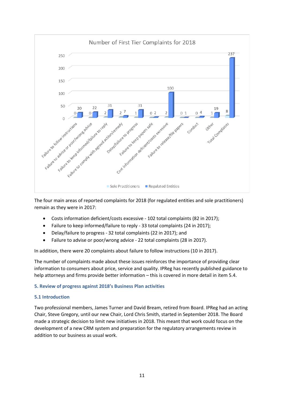

The four main areas of reported complaints for 2018 (for regulated entities and sole practitioners) remain as they were in 2017:

- Costs information deficient/costs excessive 102 total complaints (82 in 2017);
- Failure to keep informed/failure to reply 33 total complaints (24 in 2017);
- Delay/failure to progress 32 total complaints (22 in 2017); and
- Failure to advise or poor/wrong advice 22 total complaints (28 in 2017).

In addition, there were 20 complaints about failure to follow instructions (10 in 2017).

The number of complaints made about these issues reinforces the importance of providing clear information to consumers about price, service and quality. IPReg has recently published guidance to help attorneys and firms provide better information – this is covered in more detail in item 5.4.

## **5. Review of progress against 2018's Business Plan activities**

## **5.1 Introduction**

Two professional members, James Turner and David Bream, retired from Board. IPReg had an acting Chair, Steve Gregory, until our new Chair, Lord Chris Smith, started in September 2018. The Board made a strategic decision to limit new initiatives in 2018. This meant that work could focus on the development of a new CRM system and preparation for the regulatory arrangements review in addition to our business as usual work.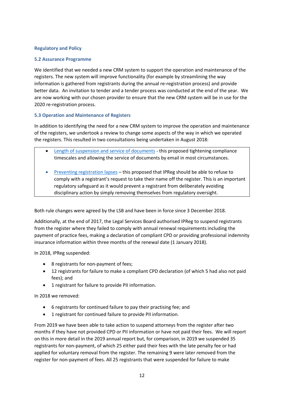# **Regulatory and Policy**

## **5.2 Assurance Programme**

We identified that we needed a new CRM system to support the operation and maintenance of the registers. The new system will improve functionality (for example by streamlining the way information is gathered from registrants during the annual re-registration process) and provide better data. An invitation to tender and a tender process was conducted at the end of the year. We are now working with our chosen provider to ensure that the new CRM system will be in use for the 2020 re-registration process.

# **5.3 Operation and Maintenance of Registers**

In addition to identifying the need for a new CRM system to improve the operation and maintenance of the registers, we undertook a review to change some aspects of the way in which we operated the registers. This resulted in two consultations being undertaken in August 2018:

- [Length of suspension and service of documents](https://ipreg.org.uk/wp-content/files/2018/08/Length-of-suspension-and-service-of-documents-Consultation-August-2018.pdf) this proposed tightening compliance timescales and allowing the service of documents by email in most circumstances.
- [Preventing registration lapses](https://ipreg.org.uk/wp-content/files/2018/08/Voluntary-Removal-Consultation-August-2018.pdf) this proposed that IPReg should be able to refuse to comply with a registrant's request to take their name off the register. This is an important regulatory safeguard as it would prevent a registrant from deliberately avoiding disciplinary action by simply removing themselves from regulatory oversight.

Both rule changes were agreed by the LSB and have been in force since 3 December 2018.

Additionally, at the end of 2017, the Legal Services Board authorised IPReg to suspend registrants from the register where they failed to comply with annual renewal requirements including the payment of practice fees, making a declaration of compliant CPD or providing professional indemnity insurance information within three months of the renewal date (1 January 2018).

In 2018, IPReg suspended:

- 8 registrants for non-payment of fees;
- 12 registrants for failure to make a compliant CPD declaration (of which 5 had also not paid fees); and
- 1 registrant for failure to provide PII information.

In 2018 we removed:

- 6 registrants for continued failure to pay their practising fee; and
- 1 registrant for continued failure to provide PII information.

From 2019 we have been able to take action to suspend attorneys from the register after two months if they have not provided CPD or PII information or have not paid their fees. We will report on this in more detail in the 2019 annual report but, for comparison, in 2019 we suspended 35 registrants for non-payment, of which 25 either paid their fees with the late penalty fee or had applied for voluntary removal from the register. The remaining 9 were later removed from the register for non-payment of fees. All 25 registrants that were suspended for failure to make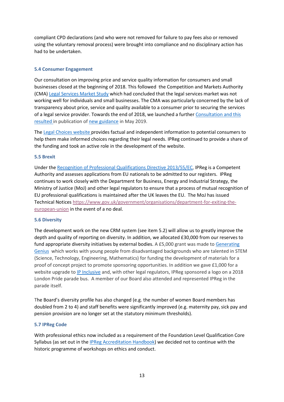compliant CPD declarations (and who were not removed for failure to pay fees also or removed using the voluntary removal process) were brought into compliance and no disciplinary action has had to be undertaken.

# **5.4 Consumer Engagement**

Our consultation on improving price and service quality information for consumers and small businesses closed at the beginning of 2018. This followed the Competition and Markets Authority (CMA) [Legal Services Market Study](https://assets.publishing.service.gov.uk/media/5887374d40f0b6593700001a/legal-services-market-study-final-report.pdf) which had concluded that the legal services market was not working well for individuals and small businesses. The CMA was particularly concerned by the lack of transparency about price, service and quality available to a consumer prior to securing the services of a legal service provider. Towards the end of 2018, we launched a further [Consultation](https://ipreg.org.uk/wp-content/files/2017/08/IPReg-Price-and-Service-Transparency-Consultation-Draft-Guidance.pdf) and this resulted in publication of [new guidance](https://ipreg.org.uk/wp-content/files/2019/05/IPReg-Transparency-Guidance-May-2019.pdf) in May 2019.

The [Legal Choices website](https://www.legalchoices.org.uk/) provides factual and independent information to potential consumers to help them make informed choices regarding their legal needs. IPReg continued to provide a share of the funding and took an active role in the development of the website.

## **5.5 Brexit**

Under the [Recognition of Professional Qualifications Directive 2013/55/EC,](https://eur-lex.europa.eu/legal-content/EN/ALL/?uri=celex%3A32013L0055) IPReg is a Competent Authority and assesses applications from EU nationals to be admitted to our registers. IPReg continues to work closely with the Department for Business, Energy and Industrial Strategy, the Ministry of Justice (MoJ) and other legal regulators to ensure that a process of mutual recognition of EU professional qualifications is maintained after the UK leaves the EU. The MoJ has issued Technical Notice[s https://www.gov.uk/government/organisations/department-for-exiting-the](https://www.gov.uk/government/organisations/department-for-exiting-the-european-union)[european-union](https://www.gov.uk/government/organisations/department-for-exiting-the-european-union) in the event of a no deal.

## **5.6 Diversity**

The development work on the new CRM system (see item 5.2) will allow us to greatly improve the depth and quality of reporting on diversity. In addition, we allocated £30,000 from our reserves to fund appropriate diversity initiatives by external bodies. A £5,000 grant was made to [Generating](https://generatinggenius.org.uk/)  [Genius](https://generatinggenius.org.uk/) which works with young people from disadvantaged backgrounds who are talented in STEM (Science, Technology, Engineering, Mathematics) for funding the development of materials for a proof of concept project to promote sponsoring opportunities. In addition we gave £1,000 for a website upgrade to [IP Inclusive](https://ipinclusive.org.uk/) and, with other legal regulators, IPReg sponsored a logo on a 2018 London Pride parade bus. A member of our Board also attended and represented IPReg in the parade itself.

The Board's diversity profile has also changed (e.g. the number of women Board members has doubled from 2 to 4) and staff benefits were significantly improved (e.g. maternity pay, sick pay and pension provision are no longer set at the statutory minimum thresholds).

## **5.7 IPReg Code**

With professional ethics now included as a requirement of the Foundation Level Qualification Core Syllabus (as set out in the [IPReg Accreditation Handbook\)](https://ipreg.org.uk/pro/getting-qualified/examinations-and-exemptions/ipreg-accreditation-handbook/) we decided not to continue with the historic programme of workshops on ethics and conduct.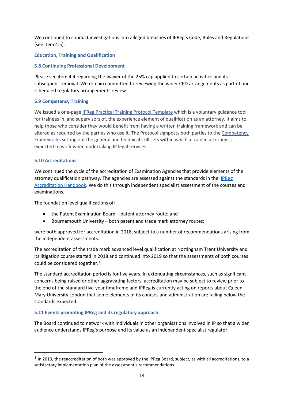We continued to conduct investigations into alleged breaches of IPReg's Code, Rules and Regulations (see item 4.5).

# **Education, Training and Qualification**

# **5.8 Continuing Professional Development**

Please see item 4.4 regarding the waiver of the 25% cap applied to certain activities and its subsequent removal. We remain committed to reviewing the wider CPD arrangements as part of our scheduled regulatory arrangements review.

# **5.9 Competency Training**

We issued a one-page IPReg Practical Training Protocol [Template](http://ipreg.org.uk/wp-content/files/2018/04/IPReg-Practical-Training-Protocol-Template.docx) which is a voluntary guidance tool for trainees in, and supervisors of, the experience element of qualification as an attorney. It aims to help those who consider they would benefit from having a written training framework and can be altered as required by the parties who use it. The Protocol signposts both parties to the [Competency](https://ipreg.org.uk/pro/getting-qualified/training-and-supervision/) [Frameworks](https://ipreg.org.uk/pro/getting-qualified/training-and-supervision/) setting out the general and technical skill sets within which a trainee attorney is expected to work when undertaking IP legal services.

# **5.10 Accreditations**

**.** 

We continued the cycle of the accreditation of Examination Agencies that provide elements of the attorney qualification pathway. The agencies are assessed against the standards in the IPReg [Accreditation Handbook.](https://ipreg.org.uk/pro/getting-qualified/examinations-and-exemptions/ipreg-accreditation-handbook/) We do this through independent specialist assessment of the courses and examinations.

The foundation level qualifications of:

- the Patent Examination Board patent attorney route; and
- Bournemouth University both patent and trade mark attorney routes;

were both approved for accreditation in 2018, subject to a number of recommendations arising from the independent assessments.

The accreditation of the trade mark advanced level qualification at Nottingham Trent University and its litigation course started in 2018 and continued into 2019 so that the assessments of both courses could be considered together.<sup>[1](#page-13-0)</sup>

The standard accreditation period is for five years. In extenuating circumstances, such as significant concerns being raised or other aggravating factors, accreditation may be subject to review prior to the end of the standard five-year timeframe and IPReg is currently acting on reports about Queen Mary University London that some elements of its courses and administration are falling below the standards expected.

## **5.11 Events promoting IPReg and its regulatory approach**

The Board continued to network with individuals in other organisations involved in IP so that a wider audience understands IPReg's purpose and its value as an independent specialist regulator.

<span id="page-13-0"></span> $1$  In 2019, the reaccreditation of both was approved by the IPReg Board, subject, as with all accreditations, to a satisfactory implementation plan of the assessment's recommendations.